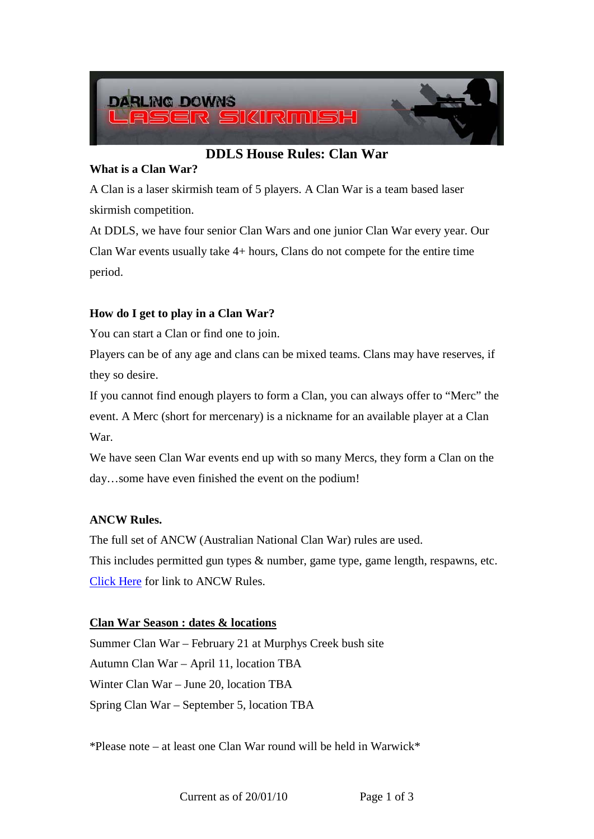

# **DDLS House Rules: Clan War**

### **What is a Clan War?**

A Clan is a laser skirmish team of 5 players. A Clan War is a team based laser skirmish competition.

At DDLS, we have four senior Clan Wars and one junior Clan War every year. Our Clan War events usually take 4+ hours, Clans do not compete for the entire time period.

## **How do I get to play in a Clan War?**

You can start a Clan or find one to join.

Players can be of any age and clans can be mixed teams. Clans may have reserves, if they so desire.

If you cannot find enough players to form a Clan, you can always offer to "Merc" the event. A Merc (short for mercenary) is a nickname for an available player at a Clan War.

We have seen Clan War events end up with so many Mercs, they form a Clan on the day…some have even finished the event on the podium!

## **ANCW Rules.**

The full set of ANCW (Australian National Clan War) rules are used. This includes permitted gun types & number, game type, game length, respawns, etc. [Click Here](http://www.battlefieldlive.com/ANCW_09.html) for link to ANCW Rules.

#### **Clan War Season : dates & locations**

Summer Clan War – February 21 at Murphys Creek bush site Autumn Clan War – April 11, location TBA Winter Clan War – June 20, location TBA Spring Clan War – September 5, location TBA

\*Please note – at least one Clan War round will be held in Warwick\*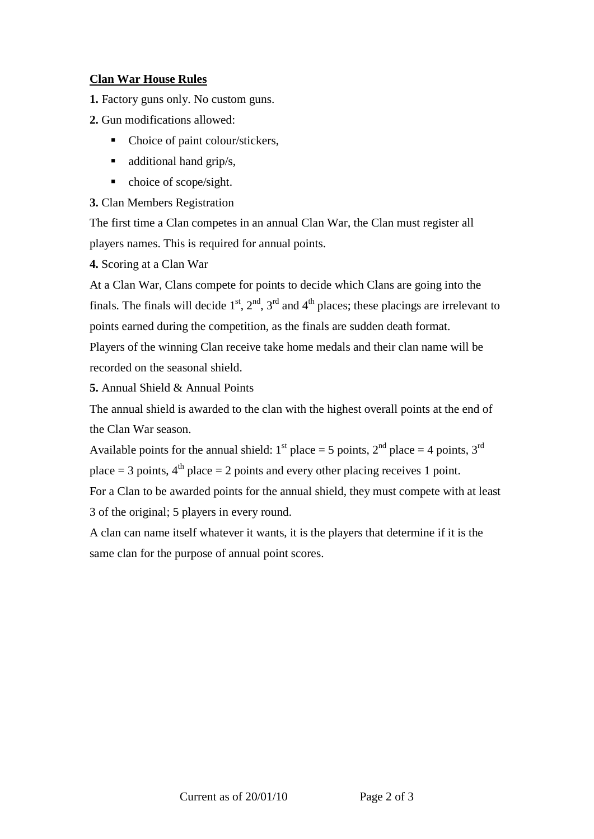### **Clan War House Rules**

**1.** Factory guns only. No custom guns.

- **2.** Gun modifications allowed:
	- Choice of paint colour/stickers,
	- $\blacksquare$  additional hand grip/s,
	- $\blacksquare$  choice of scope/sight.

**3.** Clan Members Registration

The first time a Clan competes in an annual Clan War, the Clan must register all players names. This is required for annual points.

**4.** Scoring at a Clan War

At a Clan War, Clans compete for points to decide which Clans are going into the finals. The finals will decide  $1<sup>st</sup>$ ,  $2<sup>nd</sup>$ ,  $3<sup>rd</sup>$  and  $4<sup>th</sup>$  places; these placings are irrelevant to points earned during the competition, as the finals are sudden death format. Players of the winning Clan receive take home medals and their clan name will be recorded on the seasonal shield.

**5.** Annual Shield & Annual Points

The annual shield is awarded to the clan with the highest overall points at the end of the Clan War season.

Available points for the annual shield:  $1<sup>st</sup>$  place = 5 points,  $2<sup>nd</sup>$  place = 4 points,  $3<sup>rd</sup>$ place = 3 points,  $4<sup>th</sup>$  place = 2 points and every other placing receives 1 point. For a Clan to be awarded points for the annual shield, they must compete with at least

3 of the original; 5 players in every round.

A clan can name itself whatever it wants, it is the players that determine if it is the same clan for the purpose of annual point scores.